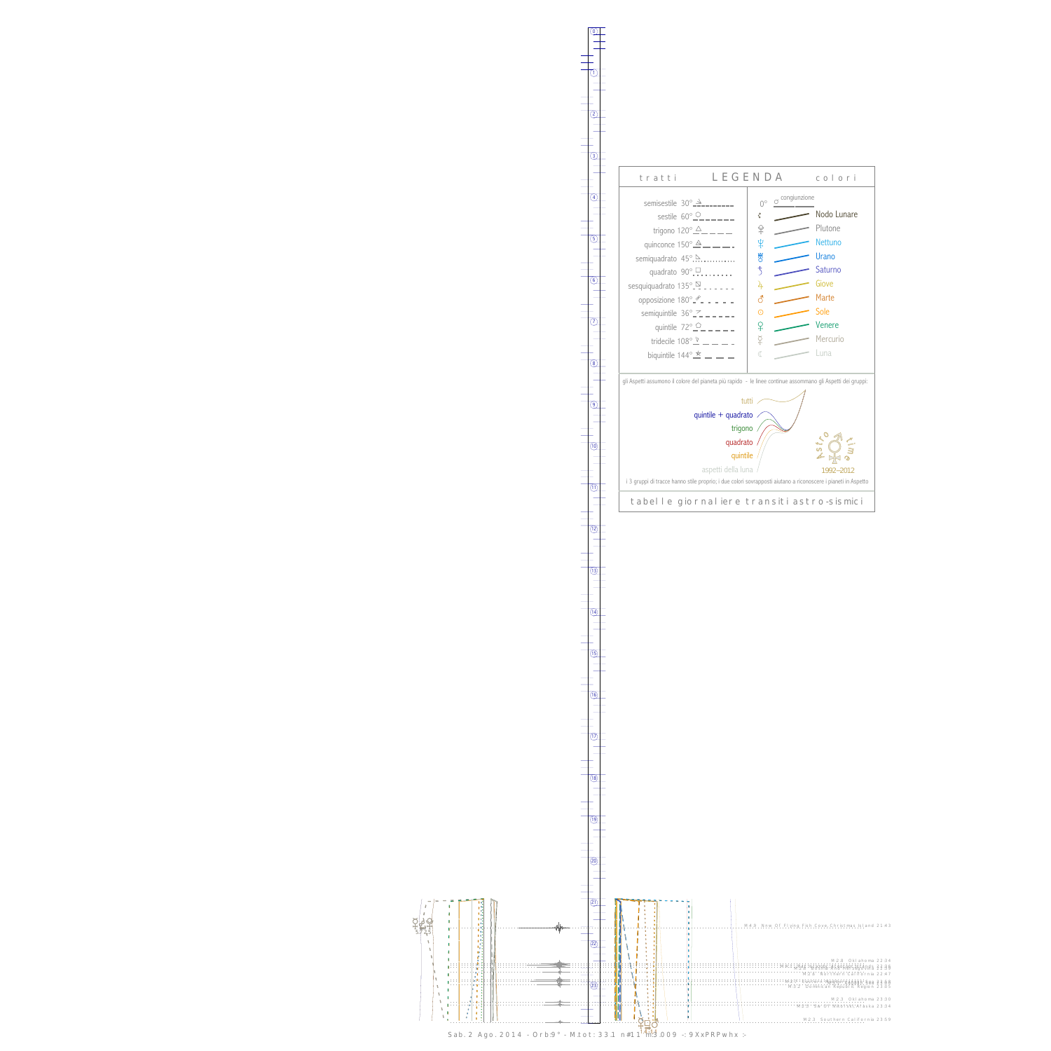0

1



13